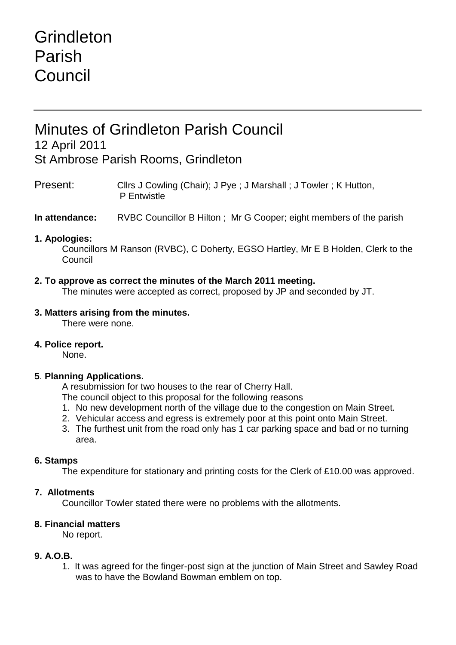# **Grindleton** Parish Council

# Minutes of Grindleton Parish Council 12 April 2011 St Ambrose Parish Rooms, Grindleton

Present: Cllrs J Cowling (Chair); J Pye ; J Marshall ; J Towler ; K Hutton, P Entwistle

**In attendance:** RVBC Councillor B Hilton ; Mr G Cooper; eight members of the parish

### **1. Apologies:**

Councillors M Ranson (RVBC), C Doherty, EGSO Hartley, Mr E B Holden, Clerk to the Council

## **2. To approve as correct the minutes of the March 2011 meeting.**

The minutes were accepted as correct, proposed by JP and seconded by JT.

#### **3. Matters arising from the minutes.**

There were none.

#### **4. Police report.**

None.

# **5**. **Planning Applications.**

A resubmission for two houses to the rear of Cherry Hall.

The council object to this proposal for the following reasons

- 1. No new development north of the village due to the congestion on Main Street.
- 2. Vehicular access and egress is extremely poor at this point onto Main Street.
- 3. The furthest unit from the road only has 1 car parking space and bad or no turning area.

#### **6. Stamps**

The expenditure for stationary and printing costs for the Clerk of £10.00 was approved.

#### **7. Allotments**

Councillor Towler stated there were no problems with the allotments.

#### **8. Financial matters**

No report.

#### **9. A.O.B.**

1. It was agreed for the finger-post sign at the junction of Main Street and Sawley Road was to have the Bowland Bowman emblem on top.